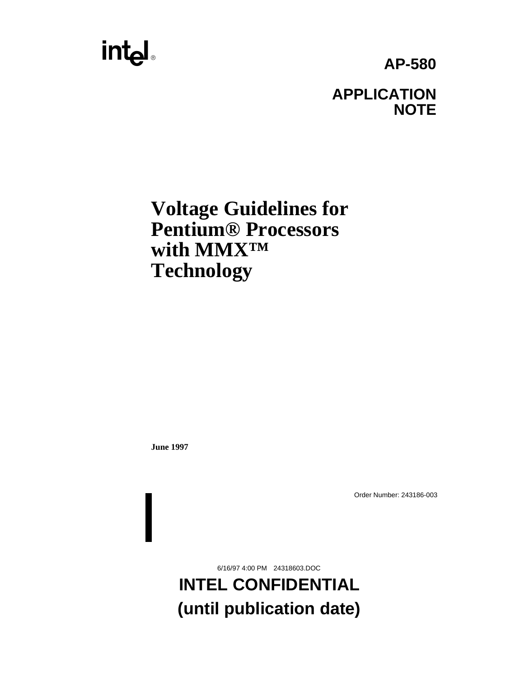

### **AP-580**

### **APPLICATION NOTE**

### **Voltage Guidelines for Pentium® Processors with MMX™ Technology**

**June 1997**

Order Number: 243186-003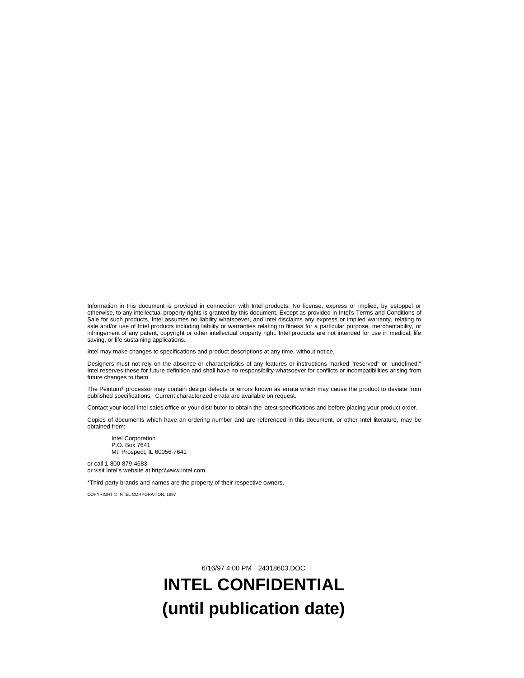Information in this document is provided in connection with Intel products. No license, express or implied, by estoppel or otherwise, to any intellectual property rights is granted by this document. Except as provided in Intel's Terms and Conditions of Sale for such products, Intel assumes no liability whatsoever, and Intel disclaims any express or implied warranty, relating to sale and/or use of Intel products including liability or warranties relating to fitness for a particular purpose, merchantability, or infringement of any patent, copyright or other intellectual property right. Intel products are not intended for use in medical, life saving, or life sustaining applications.

Intel may make changes to specifications and product descriptions at any time, without notice.

Designers must not rely on the absence or characteristics of any features or instructions marked "reserved" or "undefined." Intel reserves these for future definition and shall have no responsibility whatsoever for conflicts or incompatibilities arising from future changes to them.

The Peintum® processor may contain design defects or errors known as errata which may cause the product to deviate from published specifications. Current characterized errata are available on request.

Contact your local Intel sales office or your distributor to obtain the latest specifications and before placing your product order.

Copies of documents which have an ordering number and are referenced in this document, or other Intel literature, may be obtained from:

Intel Corporation P.O. Box 7641 Mt. Prospect, IL 60056-7641

or call 1-800-879-4683 or visit Intel's website at http:\\www.intel.com

\*Third-party brands and names are the property of their respective owners.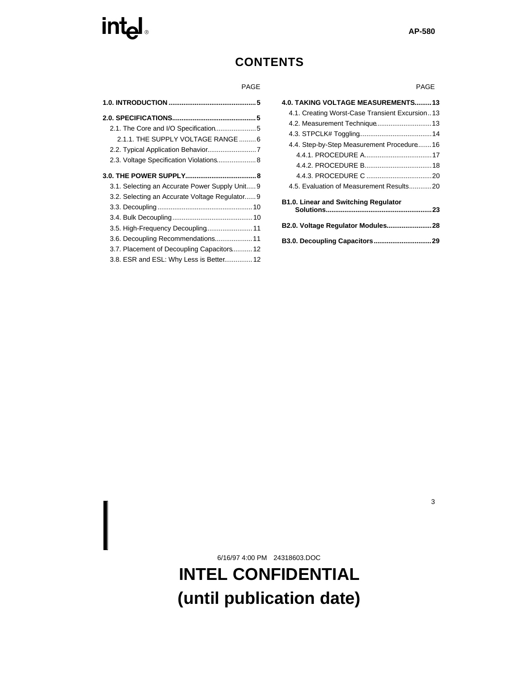### **CONTENTS**

| <b>PAGE</b><br>PAGE |
|---------------------|
|---------------------|

| 2.1. The Core and I/O Specification5           |
|------------------------------------------------|
| 2.1.1. THE SUPPLY VOLTAGE RANGE  6             |
|                                                |
| 2.3. Voltage Specification Violations 8        |
|                                                |
| 3.1. Selecting an Accurate Power Supply Unit9  |
| 3.2. Selecting an Accurate Voltage Regulator 9 |
|                                                |
|                                                |
|                                                |
|                                                |
| 3.7. Placement of Decoupling Capacitors12      |
| 3.8. ESR and ESL: Why Less is Better 12        |
|                                                |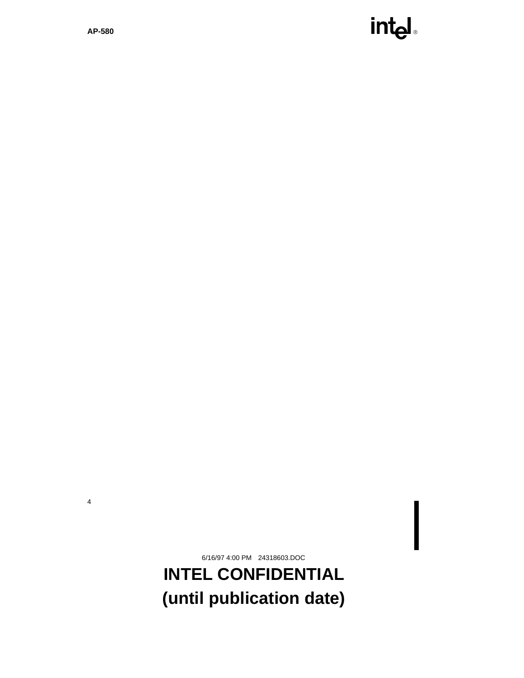I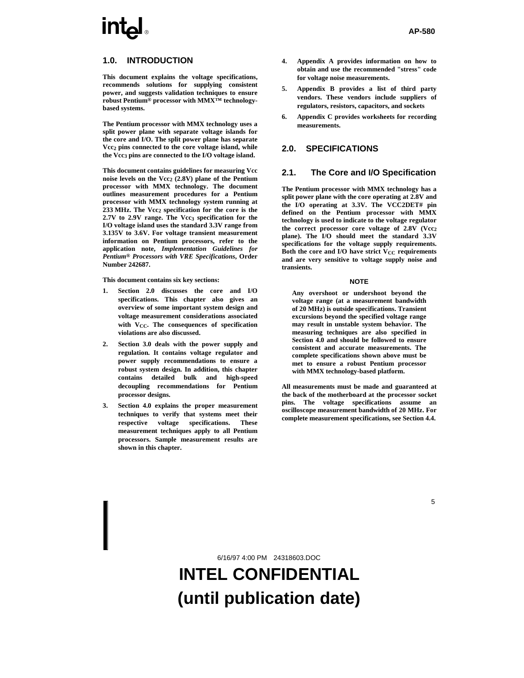### **1.0. INTRODUCTION**

**This document explains the voltage specifications, recommends solutions for supplying consistent power, and suggests validation techniques to ensure robust Pentium® processor with MMX™ technologybased systems.**

**The Pentium processor with MMX technology uses a split power plane with separate voltage islands for the core and I/O. The split power plane has separate Vcc2 pins connected to the core voltage island, while the Vcc3 pins are connected to the I/O voltage island.**

**This document contains guidelines for measuring Vcc** noise levels on the Vcc<sub>2</sub> (2.8V) plane of the Pentium **processor with MMX technology. The document outlines measurement procedures for a Pentium processor with MMX technology system running at 233 MHz. The Vcc2 specification for the core is the 2.7V to 2.9V range. The Vcc3 specification for the I/O voltage island uses the standard 3.3V range from 3.135V to 3.6V. For voltage transient measurement information on Pentium processors, refer to the application note,** *Implementation Guidelines for Pentium® Processors with VRE Specifications***, Order Number 242687.**

**This document contains six key sections:**

- **1. Section 2.0 discusses the core and I/O specifications. This chapter also gives an overview of some important system design and voltage measurement considerations associated** with V<sub>CC</sub>. The consequences of specification **violations are also discussed.**
- **2. Section 3.0 deals with the power supply and regulation. It contains voltage regulator and power supply recommendations to ensure a robust system design. In addition, this chapter contains detailed bulk and high-speed decoupling recommendations for Pentium processor designs.**
- **3. Section 4.0 explains the proper measurement techniques to verify that systems meet their respective voltage specifications. These measurement techniques apply to all Pentium processors. Sample measurement results are shown in this chapter.**
- **4. Appendix A provides information on how to obtain and use the recommended "stress" code for voltage noise measurements.**
- **5. Appendix B provides a list of third party vendors. These vendors include suppliers of regulators, resistors, capacitors, and sockets**
- **6. Appendix C provides worksheets for recording measurements.**

### **2.0. SPECIFICATIONS**

### **2.1. The Core and I/O Specification**

**The Pentium processor with MMX technology has a split power plane with the core operating at 2.8V and the I/O operating at 3.3V. The VCC2DET# pin defined on the Pentium processor with MMX technology is used to indicate to the voltage regulator** the correct processor core voltage of 2.8V (Vcc<sub>2</sub> **plane). The I/O should meet the standard 3.3V specifications for the voltage supply requirements.** Both the core and I/O have strict  $V_{CC}$  requirements **and are very sensitive to voltage supply noise and transients.**

### **NOTE**

**Any overshoot or undershoot beyond the voltage range (at a measurement bandwidth of 20 MHz) is outside specifications. Transient excursions beyond the specified voltage range may result in unstable system behavior. The measuring techniques are also specified in Section 4.0 and should be followed to ensure consistent and accurate measurements. The complete specifications shown above must be met to ensure a robust Pentium processor with MMX technology-based platform.**

**All measurements must be made and guaranteed at the back of the motherboard at the processor socket pins. The voltage specifications assume an oscilloscope measurement bandwidth of 20 MHz. For complete measurement specifications, see Section 4.4.**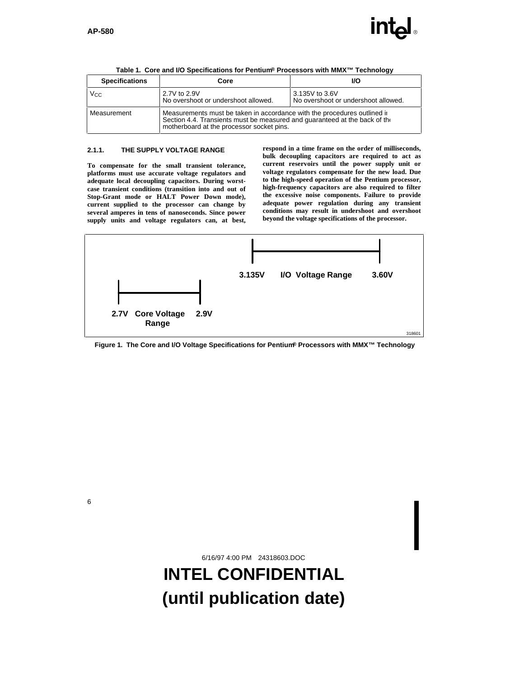| <b>Specifications</b> | Core                                                                                                                                                                                                | VO                                                    |  |
|-----------------------|-----------------------------------------------------------------------------------------------------------------------------------------------------------------------------------------------------|-------------------------------------------------------|--|
| Vcc                   | 2.7V to 2.9V<br>No overshoot or undershoot allowed.                                                                                                                                                 | 3.135V to 3.6V<br>No overshoot or undershoot allowed. |  |
| Measurement           | Measurements must be taken in accordance with the procedures outlined in<br>Section 4.4. Transients must be measured and quaranteed at the back of the<br>motherboard at the processor socket pins. |                                                       |  |

**Table 1. Core and I/O Specifications for Pentium® Processors with MMX™ Technology**

### **2.1.1. THE SUPPLY VOLTAGE RANGE**

**To compensate for the small transient tolerance, platforms must use accurate voltage regulators and adequate local decoupling capacitors. During worstcase transient conditions (transition into and out of Stop-Grant mode or HALT Power Down mode), current supplied to the processor can change by several amperes in tens of nanoseconds. Since power supply units and voltage regulators can, at best,**

**respond in a time frame on the order of milliseconds, bulk decoupling capacitors are required to act as current reservoirs until the power supply unit or voltage regulators compensate for the new load. Due to the high-speed operation of the Pentium processor, high-frequency capacitors are also required to filter the excessive noise components. Failure to provide adequate power regulation during any transient conditions may result in undershoot and overshoot beyond the voltage specifications of the processor.**



**Figure 1. The Core and I/O Voltage Specifications for Pentium® Processors with MMX™ Technology**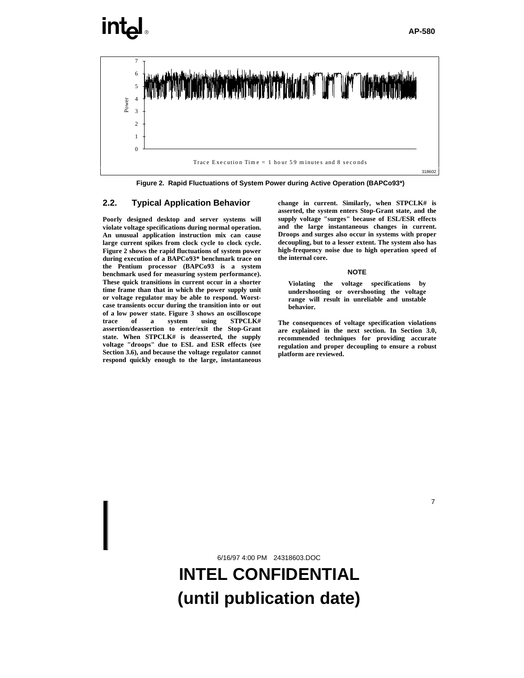

**Figure 2. Rapid Fluctuations of System Power during Active Operation (BAPCo93\*)**

### **2.2. Typical Application Behavior**

**Poorly designed desktop and server systems will violate voltage specifications during normal operation. An unusual application instruction mix can cause large current spikes from clock cycle to clock cycle. Figure 2 shows the rapid fluctuations of system power during execution of a BAPCo93\* benchmark trace on the Pentium processor (BAPCo93 is a system benchmark used for measuring system performance). These quick transitions in current occur in a shorter time frame than that in which the power supply unit or voltage regulator may be able to respond. Worstcase transients occur during the transition into or out of a low power state. Figure 3 shows an oscilloscope trace of a system using STPCLK# assertion/deassertion to enter/exit the Stop-Grant state. When STPCLK# is deasserted, the supply voltage "droops" due to ESL and ESR effects (see Section 3.6), and because the voltage regulator cannot respond quickly enough to the large, instantaneous**

**change in current. Similarly, when STPCLK# is asserted, the system enters Stop-Grant state, and the supply voltage "surges" because of ESL/ESR effects and the large instantaneous changes in current. Droops and surges also occur in systems with proper decoupling, but to a lesser extent. The system also has high-frequency noise due to high operation speed of the internal core.**

### **NOTE**

**Violating the voltage specifications by undershooting or overshooting the voltage range will result in unreliable and unstable behavior.**

**The consequences of voltage specification violations are explained in the next section. In Section 3.0, recommended techniques for providing accurate regulation and proper decoupling to ensure a robust platform are reviewed.**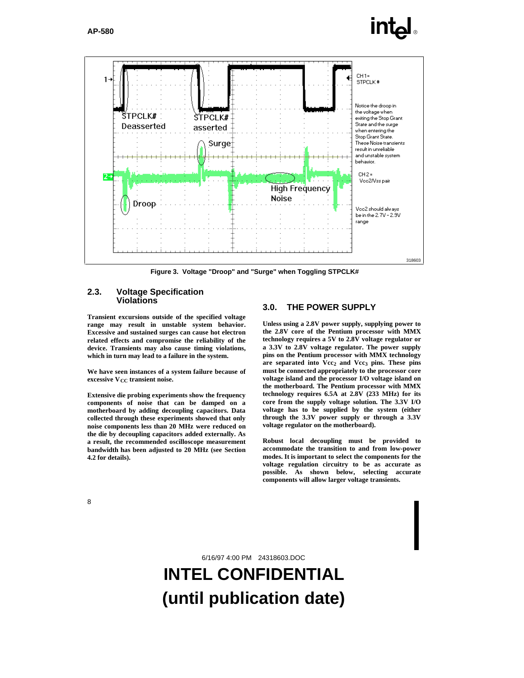

**Figure 3. Voltage "Droop" and "Surge" when Toggling STPCLK#**

### **2.3. Voltage Specification Violations**

**Transient excursions outside of the specified voltage range may result in unstable system behavior. Excessive and sustained surges can cause hot electron related effects and compromise the reliability of the device. Transients may also cause timing violations, which in turn may lead to a failure in the system.**

**We have seen instances of a system failure because of** excessive V<sub>CC</sub> transient noise.

**Extensive die probing experiments show the frequency components of noise that can be damped on a motherboard by adding decoupling capacitors. Data collected through these experiments showed that only noise components less than 20 MHz were reduced on the die by decoupling capacitors added externally. As a result, the recommended oscilloscope measurement bandwidth has been adjusted to 20 MHz (see Section 4.2 for details).**

### **3.0. THE POWER SUPPLY**

**Unless using a 2.8V power supply, supplying power to the 2.8V core of the Pentium processor with MMX technology requires a 5V to 2.8V voltage regulator or a 3.3V to 2.8V voltage regulator. The power supply pins on the Pentium processor with MMX technology** are separated into Vcc<sub>2</sub> and Vcc<sub>3</sub> pins. These pins **must be connected appropriately to the processor core voltage island and the processor I/O voltage island on the motherboard. The Pentium processor with MMX technology requires 6.5A at 2.8V (233 MHz) for its core from the supply voltage solution. The 3.3V I/O voltage has to be supplied by the system (either through the 3.3V power supply or through a 3.3V voltage regulator on the motherboard).**

**Robust local decoupling must be provided to accommodate the transition to and from low-power modes. It is important to select the components for the voltage regulation circuitry to be as accurate as possible. As shown below, selecting accurate components will allow larger voltage transients.**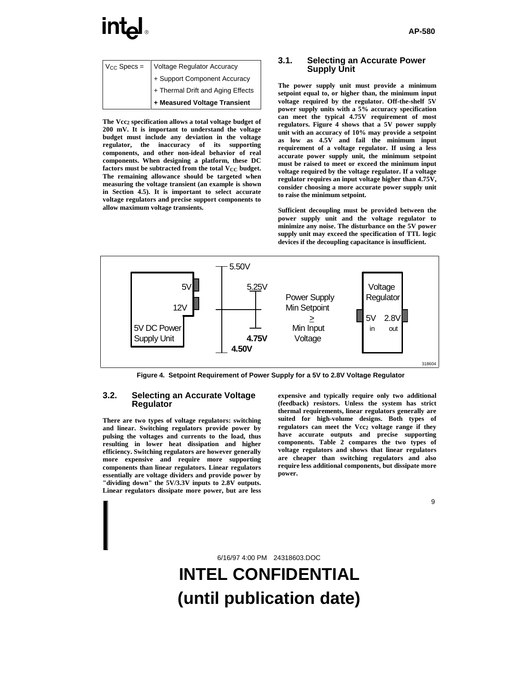| intel | AP-580 |
|-------|--------|

| $V_{CC}$ Specs = | Voltage Regulator Accuracy        |
|------------------|-----------------------------------|
|                  | + Support Component Accuracy      |
|                  | + Thermal Drift and Aging Effects |
|                  | + Measured Voltage Transient      |

**The Vcc2 specification allows a total voltage budget of 200 mV. It is important to understand the voltage budget must include any deviation in the voltage regulator, the inaccuracy of its supporting components, and other non-ideal behavior of real components. When designing a platform, these DC** factors must be subtracted from the total V<sub>CC</sub> budget. **The remaining allowance should be targeted when measuring the voltage transient (an example is shown in Section 4.5). It is important to select accurate voltage regulators and precise support components to allow maximum voltage transients.**

### **3.1. Selecting an Accurate Power Supply Unit**

**The power supply unit must provide a minimum setpoint equal to, or higher than, the minimum input voltage required by the regulator. Off-the-shelf 5V power supply units with a 5% accuracy specification can meet the typical 4.75V requirement of most regulators. Figure 4 shows that a 5V power supply unit with an accuracy of 10% may provide a setpoint as low as 4.5V and fail the minimum input requirement of a voltage regulator. If using a less accurate power supply unit, the minimum setpoint must be raised to meet or exceed the minimum input voltage required by the voltage regulator. If a voltage regulator requires an input voltage higher than 4.75V, consider choosing a more accurate power supply unit to raise the minimum setpoint.**

**Sufficient decoupling must be provided between the power supply unit and the voltage regulator to minimize any noise. The disturbance on the 5V power supply unit may exceed the specification of TTL logic devices if the decoupling capacitance is insufficient.**



**Figure 4. Setpoint Requirement of Power Supply for a 5V to 2.8V Voltage Regulator**

### **3.2. Selecting an Accurate Voltage Regulator**

**There are two types of voltage regulators: switching and linear. Switching regulators provide power by pulsing the voltages and currents to the load, thus resulting in lower heat dissipation and higher efficiency. Switching regulators are however generally more expensive and require more supporting components than linear regulators. Linear regulators essentially are voltage dividers and provide power by "dividing down" the 5V/3.3V inputs to 2.8V outputs. Linear regulators dissipate more power, but are less**

**expensive and typically require only two additional (feedback) resistors. Unless the system has strict thermal requirements, linear regulators generally are suited for high-volume designs. Both types of** regulators can meet the Vcc<sub>2</sub> voltage range if they **have accurate outputs and precise supporting components. Table 2 compares the two types of voltage regulators and shows that linear regulators are cheaper than switching regulators and also require less additional components, but dissipate more power.**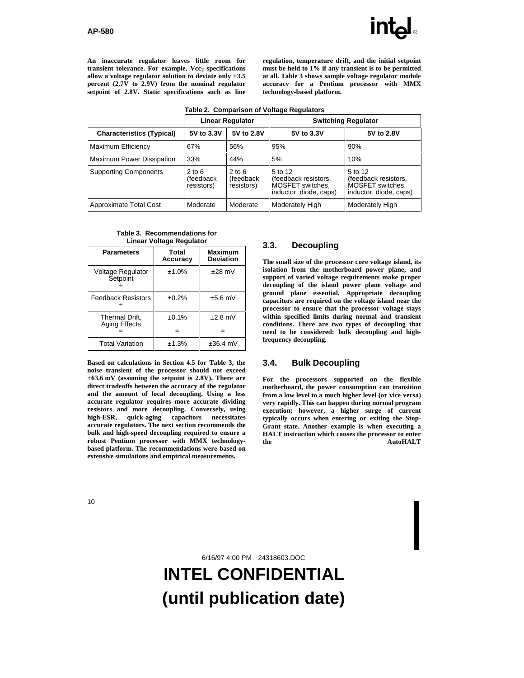**An inaccurate regulator leaves little room for** transient tolerance. For example, Vcc<sub>2</sub> specifications **allow a voltage regulator solution to deviate only ±3.5 percent (2.7V to 2.9V) from the nominal regulator setpoint of 2.8V. Static specifications such as line** **regulation, temperature drift, and the initial setpoint must be held to 1% if any transient is to be permitted at all. Table 3 shows sample voltage regulator module accuracy for a Pentium processor with MMX technology-based platform.**

|                                  | <b>Linear Regulator</b>             |                                      | <b>Switching Regulator</b>                                                    |                                                                               |
|----------------------------------|-------------------------------------|--------------------------------------|-------------------------------------------------------------------------------|-------------------------------------------------------------------------------|
| <b>Characteristics (Typical)</b> | 5V to 3.3V                          | 5V to 2.8V                           | 5V to 3.3V                                                                    | 5V to 2.8V                                                                    |
| Maximum Efficiency               | 67%                                 | 56%                                  | 95%                                                                           | 90%                                                                           |
| <b>Maximum Power Dissipation</b> | 33%                                 | 44%                                  | 5%                                                                            | 10%                                                                           |
| <b>Supporting Components</b>     | $2$ to 6<br>(feedback<br>resistors) | $2$ to 6<br>(feedback)<br>resistors) | 5 to 12<br>(feedback resistors.<br>MOSFET switches.<br>inductor, diode, caps) | 5 to 12<br>(feedback resistors.<br>MOSFET switches.<br>inductor, diode, caps) |
| Approximate Total Cost           | Moderate                            | Moderate                             | Moderately High                                                               | Moderately High                                                               |

**Table 2. Comparison of Voltage Regulators**

**Table 3. Recommendations for Linear Voltage Regulator**

| Parameters                             | Total<br>Accuracy | Maximum<br>Deviation |
|----------------------------------------|-------------------|----------------------|
| Voltage Regulator<br>Setpoint          | ±1.0%             | $±28$ mV             |
| <b>Feedback Resistors</b>              | ±0.2%             | $±5.6$ mV            |
| Thermal Drift.<br><b>Aging Effects</b> | ±0.1%             | $±2.8$ mV            |
| <b>Total Variation</b>                 | ±1.3%             | $\pm 36.4$ mV        |

**Based on calculations in Section 4.5 for Table 3, the noise transient of the processor should not exceed ±63.6 mV (assuming the setpoint is 2.8V). There are direct tradeoffs between the accuracy of the regulator and the amount of local decoupling. Using a less accurate regulator requires more accurate dividing resistors and more decoupling. Conversely, using high-ESR, quick-aging capacitors necessitates accurate regulators. The next section recommends the bulk and high-speed decoupling required to ensure a robust Pentium processor with MMX technologybased platform. The recommendations were based on extensive simulations and empirical measurements.**

### **3.3. Decoupling**

**The small size of the processor core voltage island, its isolation from the motherboard power plane, and support of varied voltage requirements make proper decoupling of the island power plane voltage and ground plane essential. Appropriate decoupling capacitors are required on the voltage island near the processor to ensure that the processor voltage stays within specified limits during normal and transient conditions. There are two types of decoupling that need to be considered: bulk decoupling and highfrequency decoupling.**

### **3.4. Bulk Decoupling**

**For the processors supported on the flexible motherboard, the power consumption can transition from a low level to a much higher level (or vice versa) very rapidly. This can happen during normal program execution; however, a higher surge of current typically occurs when entering or exiting the Stop-Grant state. Another example is when executing a HALT instruction which causes the processor to enter the AutoHALT**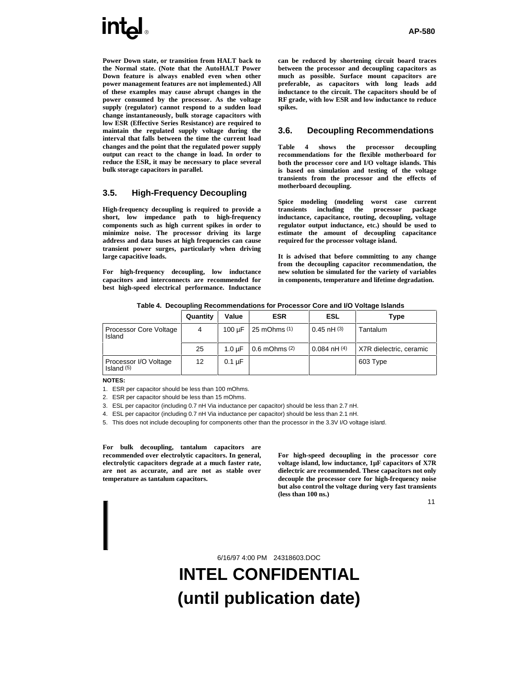**Power Down state, or transition from HALT back to the Normal state. (Note that the AutoHALT Power Down feature is always enabled even when other power management features are not implemented.) All of these examples may cause abrupt changes in the power consumed by the processor. As the voltage supply (regulator) cannot respond to a sudden load change instantaneously, bulk storage capacitors with low ESR (Effective Series Resistance) are required to maintain the regulated supply voltage during the interval that falls between the time the current load changes and the point that the regulated power supply output can react to the change in load. In order to reduce the ESR, it may be necessary to place several bulk storage capacitors in parallel.**

### **3.5. High-Frequency Decoupling**

**High-frequency decoupling is required to provide a short, low impedance path to high-frequency components such as high current spikes in order to minimize noise. The processor driving its large address and data buses at high frequencies can cause transient power surges, particularly when driving large capacitive loads.**

**For high-frequency decoupling, low inductance capacitors and interconnects are recommended for best high-speed electrical performance. Inductance**

**can be reduced by shortening circuit board traces between the processor and decoupling capacitors as much as possible. Surface mount capacitors are preferable, as capacitors with long leads add inductance to the circuit. The capacitors should be of RF grade, with low ESR and low inductance to reduce spikes.**

### **3.6. Decoupling Recommendations**

**Table 4 shows the processor decoupling recommendations for the flexible motherboard for both the processor core and I/O voltage islands. This is based on simulation and testing of the voltage transients from the processor and the effects of motherboard decoupling.**

**Spice modeling (modeling worst case current transients including the processor package inductance, capacitance, routing, decoupling, voltage regulator output inductance, etc.) should be used to estimate the amount of decoupling capacitance required for the processor voltage island.**

**It is advised that before committing to any change from the decoupling capacitor recommendation, the new solution be simulated for the variety of variables in components, temperature and lifetime degradation.**

|                                       | Quantity | Value            | <b>ESR</b>        | <b>ESL</b>       | Type                    |
|---------------------------------------|----------|------------------|-------------------|------------------|-------------------------|
| Processor Core Voltage<br>Island      | 4        | $100 \text{ uF}$ | 25 mOhms (1)      | $0.45$ nH $(3)$  | Tantalum                |
|                                       | 25       | $1.0 \text{ uF}$ | $0.6$ mOhms $(2)$ | $0.084$ nH $(4)$ | X7R dielectric, ceramic |
| Processor I/O Voltage<br>Island $(5)$ | 12       | $0.1 \mu F$      |                   |                  | 603 Type                |

**Table 4. Decoupling Recommendations for Processor Core and I/O Voltage Islands**

**NOTES:**

- 2. ESR per capacitor should be less than 15 mOhms.
- 3. ESL per capacitor (including 0.7 nH Via inductance per capacitor) should be less than 2.7 nH.
- 4. ESL per capacitor (including 0.7 nH Via inductance per capacitor) should be less than 2.1 nH.
- 5. This does not include decoupling for components other than the processor in the 3.3V I/O voltage island.

**For bulk decoupling, tantalum capacitors are recommended over electrolytic capacitors. In general, electrolytic capacitors degrade at a much faster rate, are not as accurate, and are not as stable over temperature as tantalum capacitors.**

**For high-speed decoupling in the processor core voltage island, low inductance, 1µF capacitors of X7R dielectric are recommended. These capacitors not only decouple the processor core for high-frequency noise but also control the voltage during very fast transients (less than 100 ns.)**

<sup>1.</sup> ESR per capacitor should be less than 100 mOhms.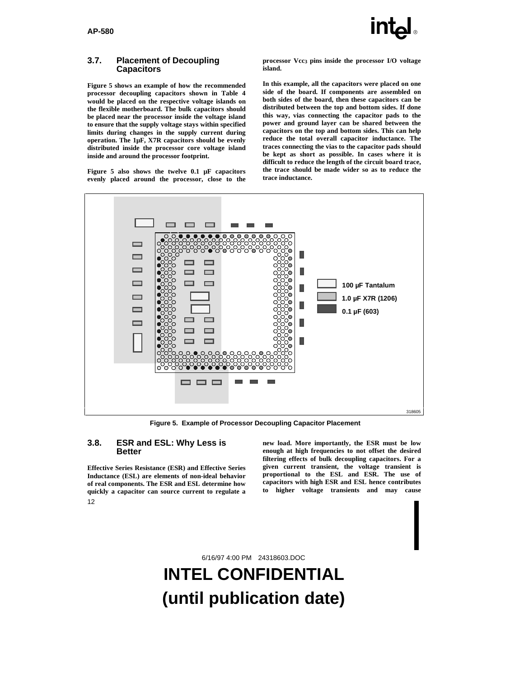### **3.7. Placement of Decoupling Capacitors**

**Figure 5 shows an example of how the recommended processor decoupling capacitors shown in Table 4 would be placed on the respective voltage islands on the flexible motherboard. The bulk capacitors should be placed near the processor inside the voltage island to ensure that the supply voltage stays within specified limits during changes in the supply current during operation. The 1µF, X7R capacitors should be evenly distributed inside the processor core voltage island inside and around the processor footprint.**

**Figure 5 also shows the twelve 0.1 µF capacitors evenly placed around the processor, close to the** **processor Vcc3 pins inside the processor I/O voltage island.**

**In this example, all the capacitors were placed on one side of the board. If components are assembled on both sides of the board, then these capacitors can be distributed between the top and bottom sides. If done this way, vias connecting the capacitor pads to the power and ground layer can be shared between the capacitors on the top and bottom sides. This can help reduce the total overall capacitor inductance. The traces connecting the vias to the capacitor pads should be kept as short as possible. In cases where it is difficult to reduce the length of the circuit board trace, the trace should be made wider so as to reduce the trace inductance.**



**Figure 5. Example of Processor Decoupling Capacitor Placement**

### **3.8. ESR and ESL: Why Less is Better**

**Effective Series Resistance (ESR) and Effective Series Inductance (ESL) are elements of non-ideal behavior of real components. The ESR and ESL determine how quickly a capacitor can source current to regulate a** **new load. More importantly, the ESR must be low enough at high frequencies to not offset the desired filtering effects of bulk decoupling capacitors. For a given current transient, the voltage transient is proportional to the ESL and ESR. The use of capacitors with high ESR and ESL hence contributes to higher voltage transients and may cause**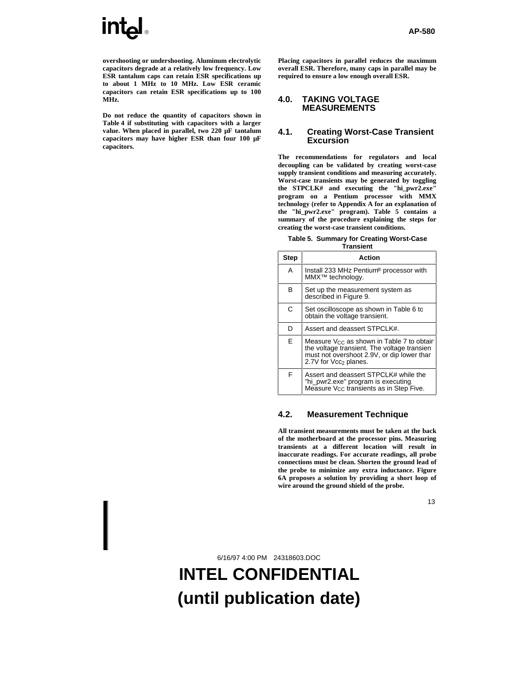**overshooting or undershooting. Aluminum electrolytic capacitors degrade at a relatively low frequency. Low ESR tantalum caps can retain ESR specifications up to about 1 MHz to 10 MHz. Low ESR ceramic capacitors can retain ESR specifications up to 100 MHz.**

**Do not reduce the quantity of capacitors shown in Table 4 if substituting with capacitors with a larger value. When placed in parallel, two 220 µF tantalum capacitors may have higher ESR than four 100 µF capacitors.**

**Placing capacitors in parallel reduces the maximum overall ESR. Therefore, many caps in parallel may be required to ensure a low enough overall ESR.**

### **4.0. TAKING VOLTAGE MEASUREMENTS**

### **4.1. Creating Worst-Case Transient Excursion**

**The recommendations for regulators and local decoupling can be validated by creating worst-case supply transient conditions and measuring accurately. Worst-case transients may be generated by toggling the STPCLK# and executing the "hi\_pwr2.exe" program on a Pentium processor with MMX technology (refer to Appendix A for an explanation of the "hi\_pwr2.exe" program). Table 5 contains a summary of the procedure explaining the steps for creating the worst-case transient conditions.**

| Table 5. Summary for Creating Worst-Case |  |
|------------------------------------------|--|
| Transient                                |  |

| <b>Step</b> | Action                                                                                                                                                                           |  |  |
|-------------|----------------------------------------------------------------------------------------------------------------------------------------------------------------------------------|--|--|
| A           | Install 233 MHz Pentium <sup>®</sup> processor with<br>MMX <sup>™</sup> technology.                                                                                              |  |  |
| B           | Set up the measurement system as<br>described in Figure 9.                                                                                                                       |  |  |
| C           | Set oscilloscope as shown in Table 6 to<br>obtain the voltage transient.                                                                                                         |  |  |
| D           | Assert and deassert STPCLK#.                                                                                                                                                     |  |  |
| E           | Measure $V_{CC}$ as shown in Table 7 to obtain<br>the voltage transient. The voltage transien<br>must not overshoot 2.9V, or dip lower thar<br>2.7V for Vcc <sub>2</sub> planes. |  |  |
| F           | Assert and deassert STPCLK# while the<br>"hi pwr2.exe" program is executing.<br>Measure V <sub>CC</sub> transients as in Step Five.                                              |  |  |

### **4.2. Measurement Technique**

**All transient measurements must be taken at the back of the motherboard at the processor pins. Measuring transients at a different location will result in inaccurate readings. For accurate readings, all probe connections must be clean. Shorten the ground lead of the probe to minimize any extra inductance. Figure 6A proposes a solution by providing a short loop of wire around the ground shield of the probe.**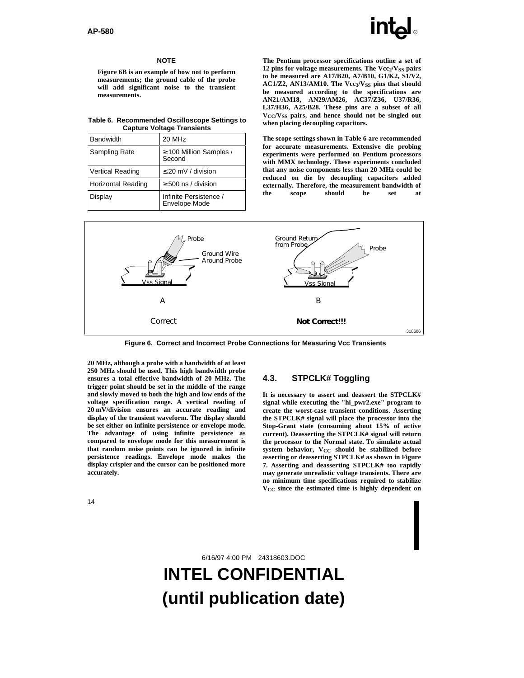### **NOTE**

**Figure 6B is an example of how not to perform measurements; the ground cable of the probe will add significant noise to the transient measurements.**

### **Table 6. Recommended Oscilloscope Settings to Capture Voltage Transients**

| <b>Bandwidth</b>        | 20 MHz                                         |
|-------------------------|------------------------------------------------|
| Sampling Rate           | $\geq$ 100 Million Samples /<br>Second         |
| <b>Vertical Reading</b> | $\leq$ 20 mV / division                        |
| Horizontal Reading      | $\geq$ 500 ns / division                       |
| Display                 | Infinite Persistence /<br><b>Envelope Mode</b> |

**The Pentium processor specifications outline a set of** 12 pins for voltage measurements. The Vcc<sub>2</sub>/V<sub>SS</sub> pairs **to be measured are A17/B20, A7/B10, G1/K2, S1/V2,** AC1/Z2, AN13/AM10. The Vcc<sub>3</sub>/V<sub>SS</sub> pins that should **be measured according to the specifications are AN21/AM18, AN29/AM26, AC37/Z36, U37/R36, L37/H36, A25/B28. These pins are a subset of all** V<sub>CC</sub>/V<sub>SS</sub> pairs, and hence should not be singled out **when placing decoupling capacitors.**

**The scope settings shown in Table 6 are recommended for accurate measurements. Extensive die probing experiments were performed on Pentium processors with MMX technology. These experiments concluded that any noise components less than 20 MHz could be reduced on die by decoupling capacitors added externally. Therefore, the measurement bandwidth of the scope should be set at**



**Figure 6. Correct and Incorrect Probe Connections for Measuring Vcc Transients**

**20 MHz, although a probe with a bandwidth of at least 250 MHz should be used. This high bandwidth probe ensures a total effective bandwidth of 20 MHz. The trigger point should be set in the middle of the range and slowly moved to both the high and low ends of the voltage specification range. A vertical reading of 20 mV/division ensures an accurate reading and display of the transient waveform. The display should be set either on infinite persistence or envelope mode. The advantage of using infinite persistence as compared to envelope mode for this measurement is that random noise points can be ignored in infinite persistence readings. Envelope mode makes the display crispier and the cursor can be positioned more accurately.**

### **4.3. STPCLK# Toggling**

**It is necessary to assert and deassert the STPCLK# signal while executing the "hi\_pwr2.exe" program to create the worst-case transient conditions. Asserting the STPCLK# signal will place the processor into the Stop-Grant state (consuming about 15% of active current). Deasserting the STPCLK# signal will return the processor to the Normal state. To simulate actual** system behavior, V<sub>CC</sub> should be stabilized before **asserting or deasserting STPCLK# as shown in Figure 7. Asserting and deasserting STPCLK# too rapidly may generate unrealistic voltage transients. There are no minimum time specifications required to stabilize V<sub>CC</sub>** since the estimated time is highly dependent on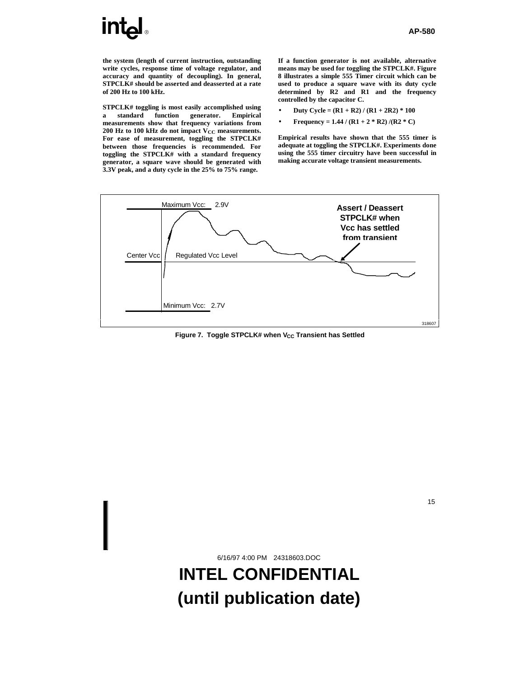**the system (length of current instruction, outstanding write cycles, response time of voltage regulator, and accuracy and quantity of decoupling). In general, STPCLK# should be asserted and deasserted at a rate of 200 Hz to 100 kHz.**

**STPCLK# toggling is most easily accomplished using a standard function generator. Empirical measurements show that frequency variations from** 200 Hz to 100 kHz do not impact V<sub>CC</sub> measurements. **For ease of measurement, toggling the STPCLK# between those frequencies is recommended. For toggling the STPCLK# with a standard frequency generator, a square wave should be generated with 3.3V peak, and a duty cycle in the 25% to 75% range.**

**If a function generator is not available, alternative means may be used for toggling the STPCLK#. Figure 8 illustrates a simple 555 Timer circuit which can be used to produce a square wave with its duty cycle determined by R2 and R1 and the frequency controlled by the capacitor C.**

- **Duty Cycle =**  $(R1 + R2) / (R1 + 2R2) * 100$
- **Frequency** = 1.44 / (R1 + 2 \* R2) /(R2 \* C)

**Empirical results have shown that the 555 timer is adequate at toggling the STPCLK#. Experiments done using the 555 timer circuitry have been successful in making accurate voltage transient measurements.**



Figure 7. Toggle STPCLK# when V<sub>CC</sub> Transient has Settled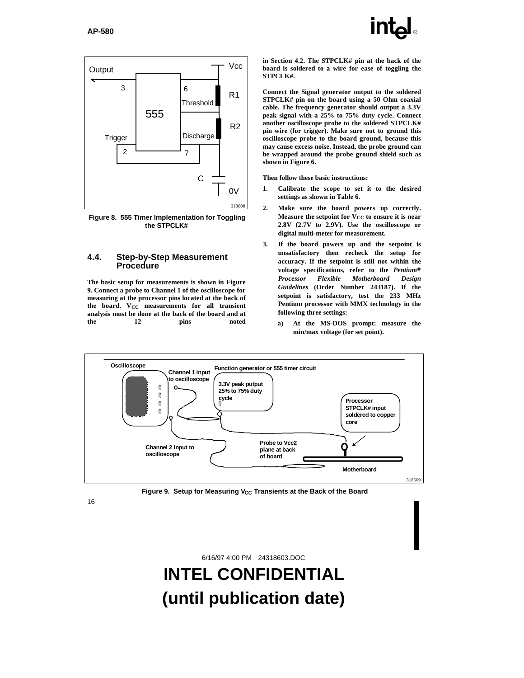

**Figure 8. 555 Timer Implementation for Toggling the STPCLK#**

### **4.4. Step-by-Step Measurement Procedure**

**The basic setup for measurements is shown in Figure 9. Connect a probe to Channel 1 of the oscilloscope for measuring at the processor pins located at the back of** the board. V<sub>CC</sub> measurements for all transient **analysis must be done at the back of the board and at the 12 pins noted**

**in Section 4.2. The STPCLK# pin at the back of the board is soldered to a wire for ease of toggling the STPCLK#.**

**Connect the Signal generator output to the soldered STPCLK# pin on the board using a 50 Ohm coaxial cable. The frequency generator should output a 3.3V peak signal with a 25% to 75% duty cycle. Connect another oscilloscope probe to the soldered STPCLK# pin wire (for trigger). Make sure not to ground this oscilloscope probe to the board ground, because this may cause excess noise. Instead, the probe ground can be wrapped around the probe ground shield such as shown in Figure 6.**

**Then follow these basic instructions:**

- **1. Calibrate the scope to set it to the desired settings as shown in Table 6.**
- **2. Make sure the board powers up correctly. Measure the setpoint for**  $V_{CC}$  **to ensure it is near 2.8V (2.7V to 2.9V). Use the oscilloscope or digital multi-meter for measurement.**
- **3. If the board powers up and the setpoint is unsatisfactory then recheck the setup for accuracy. If the setpoint is still not within the voltage specifications, refer to the** *Pentium® Processor Flexible Motherboard Design Guidelines* **(Order Number 243187). If the setpoint is satisfactory, test the 233 MHz Pentium processor with MMX technology in the following three settings:**
	- **a) At the MS-DOS prompt: measure the min/max voltage (for set point).**



Figure 9. Setup for Measuring V<sub>CC</sub> Transients at the Back of the Board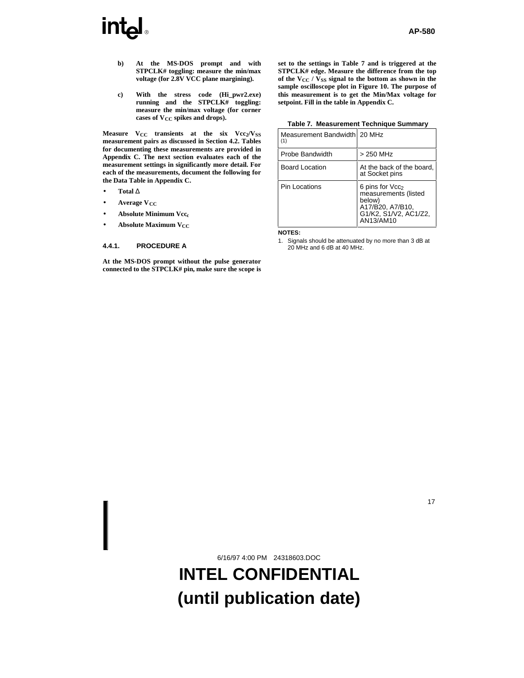- **b) At the MS-DOS prompt and with STPCLK# toggling: measure the min/max voltage (for 2.8V VCC plane margining).**
- **c) With the stress code (Hi\_pwr2.exe) running and the STPCLK# toggling: measure the min/max voltage (for corner** cases of V<sub>CC</sub> spikes and drops).

**Measure**  $V_{CC}$  **transients at the six**  $V_{CC2}/V_{SS}$ **measurement pairs as discussed in Section 4.2. Tables for documenting these measurements are provided in Appendix C. The next section evaluates each of the measurement settings in significantly more detail. For each of the measurements, document the following for the Data Table in Appendix C.**

- **Total** ∆
- **Average V<sub>CC</sub>**
- **Absolute Minimum Vccc**
- **Absolute Maximum Vcc**

### **4.4.1. PROCEDURE A**

**At the MS-DOS prompt without the pulse generator connected to the STPCLK# pin, make sure the scope is** **set to the settings in Table 7 and is triggered at the STPCLK# edge. Measure the difference from the top** of the V<sub>CC</sub> / V<sub>SS</sub> signal to the bottom as shown in the **sample oscilloscope plot in Figure 10. The purpose of this measurement is to get the Min/Max voltage for setpoint. Fill in the table in Appendix C.**

**Table 7. Measurement Technique Summary**

| Measurement Bandwidth 20 MHz<br>(1) |                                                                                                                         |
|-------------------------------------|-------------------------------------------------------------------------------------------------------------------------|
| Probe Bandwidth                     | > 250 MHz                                                                                                               |
| <b>Board Location</b>               | At the back of the board,<br>at Socket pins                                                                             |
| Pin Locations                       | 6 pins for Vcc <sub>2</sub><br>measurements (listed<br>below)<br>A17/B20, A7/B10,<br>G1/K2, S1/V2, AC1/Z2,<br>AN13/AM10 |

### **NOTES:**

1. Signals should be attenuated by no more than 3 dB at 20 MHz and 6 dB at 40 MHz.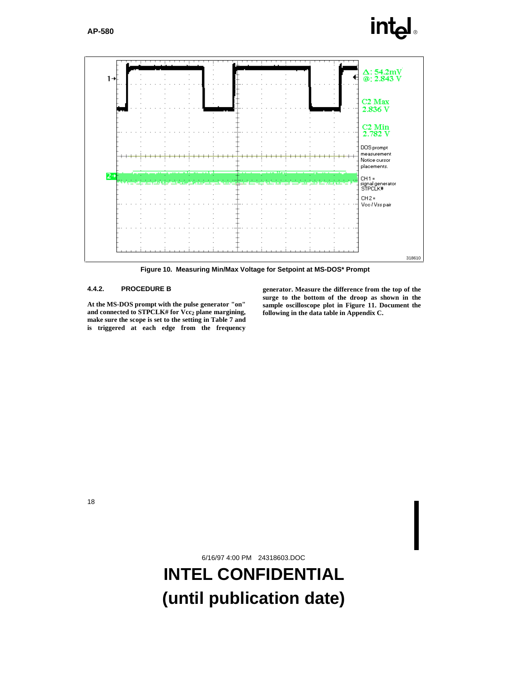

**Figure 10. Measuring Min/Max Voltage for Setpoint at MS-DOS\* Prompt**

### **4.4.2. PROCEDURE B**

**At the MS-DOS prompt with the pulse generator "on"** and connected to STPCLK# for Vcc<sub>2</sub> plane margining, **make sure the scope is set to the setting in Table 7 and is triggered at each edge from the frequency**

**generator. Measure the difference from the top of the surge to the bottom of the droop as shown in the sample oscilloscope plot in Figure 11. Document the following in the data table in Appendix C.**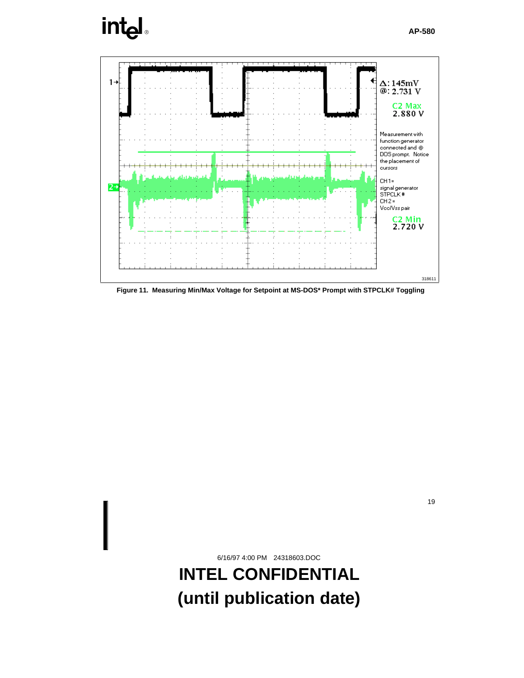

**Figure 11. Measuring Min/Max Voltage for Setpoint at MS-DOS\* Prompt with STPCLK# Toggling**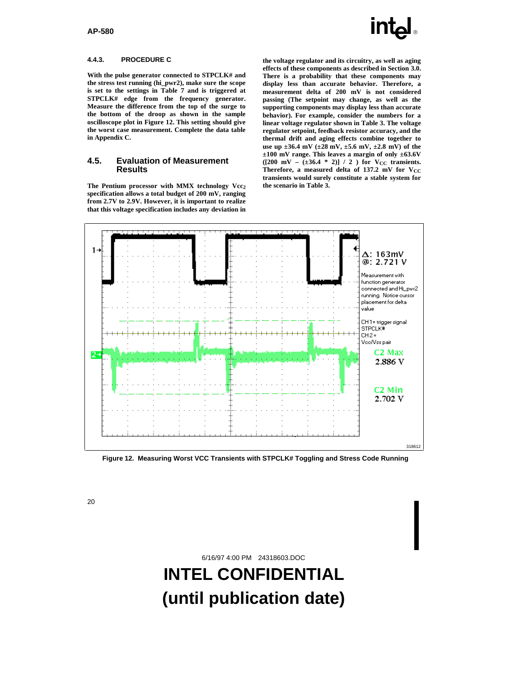### **4.4.3. PROCEDURE C**

**With the pulse generator connected to STPCLK# and the stress test running (hi\_pwr2), make sure the scope is set to the settings in Table 7 and is triggered at STPCLK# edge from the frequency generator. Measure the difference from the top of the surge to the bottom of the droop as shown in the sample oscilloscope plot in Figure 12. This setting should give the worst case measurement. Complete the data table in Appendix C.**

### **4.5. Evaluation of Measurement Results**

The Pentium processor with MMX technology Vcc<sub>2</sub> **specification allows a total budget of 200 mV, ranging from 2.7V to 2.9V. However, it is important to realize that this voltage specification includes any deviation in**

**the voltage regulator and its circuitry, as well as aging effects of these components as described in Section 3.0. There is a probability that these components may display less than accurate behavior. Therefore, a measurement delta of 200 mV is not considered passing (The setpoint may change, as well as the supporting components may display less than accurate behavior). For example, consider the numbers for a linear voltage regulator shown in Table 3. The voltage regulator setpoint, feedback resistor accuracy, and the thermal drift and aging effects combine together to use up ±36.4 mV (±28 mV, ±5.6 mV, ±2.8 mV) of the ±100 mV range. This leaves a margin of only ±63.6V**  $([200 \text{ mV} - (\pm 36.4 \ ^* 2)] / 2)$  for V<sub>CC</sub> transients. Therefore, a measured delta of  $137.2$  mV for  $V_{CC}$ **transients would surely constitute a stable system for the scenario in Table 3.**



**Figure 12. Measuring Worst VCC Transients with STPCLK# Toggling and Stress Code Running**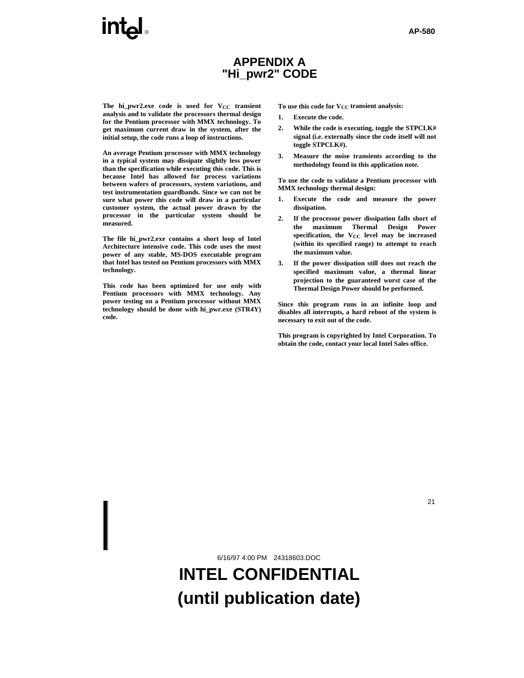### **APPENDIX A "Hi\_pwr2" CODE**

The hi\_pwr2.exe code is used for V<sub>CC</sub> transient **analysis and to validate the processors thermal design for the Pentium processor with MMX technology. To get maximum current draw in the system, after the initial setup, the code runs a loop of instructions.**

**An average Pentium processor with MMX technology in a typical system may dissipate slightly less power than the specification while executing this code. This is because Intel has allowed for process variations between wafers of processors, system variations, and test instrumentation guardbands. Since we can not be sure what power this code will draw in a particular customer system, the actual power drawn by the processor in the particular system should be measured.**

**The file hi\_pwr2.exe contains a short loop of Intel Architecture intensive code. This code uses the most power of any stable, MS-DOS executable program that Intel has tested on Pentium processors with MMX technology.**

**This code has been optimized for use only with Pentium processors with MMX technology. Any power testing on a Pentium processor without MMX technology should be done with hi\_pwr.exe (STR4Y) code.**

To use this code for V<sub>CC</sub> transient analysis:

- **1. Execute the code.**
- **2. While the code is executing, toggle the STPCLK# signal (i.e. externally since the code itself will not toggle STPCLK#).**
- **3. Measure the noise transients according to the methodology found in this application note.**

**To use the code to validate a Pentium processor with MMX technology thermal design:**

- **1. Execute the code and measure the power dissipation.**
- **2. If the processor power dissipation falls short of the maximum Thermal Design Power** specification, the V<sub>CC</sub> level may be increased **(within its specified range) to attempt to reach the maximum value.**
- **3. If the power dissipation still does not reach the specified maximum value, a thermal linear projection to the guaranteed worst case of the Thermal Design Power should be performed.**

**Since this program runs in an infinite loop and disables all interrupts, a hard reboot of the system is necessary to exit out of the code.**

**This program is copyrighted by Intel Corporation. To obtain the code, contact your local Intel Sales office.**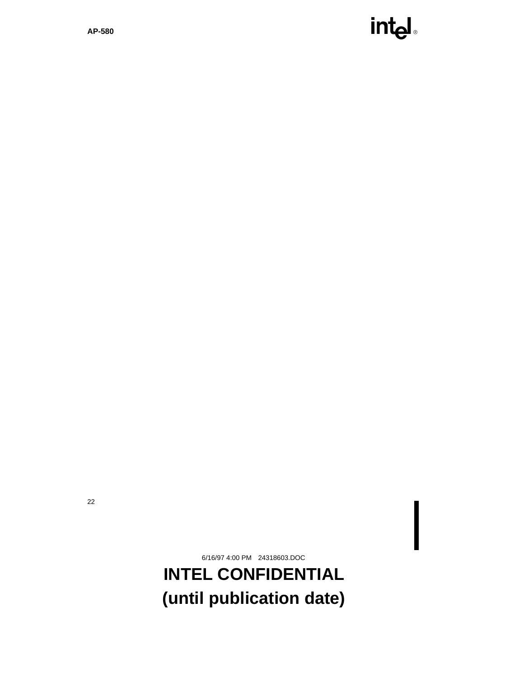I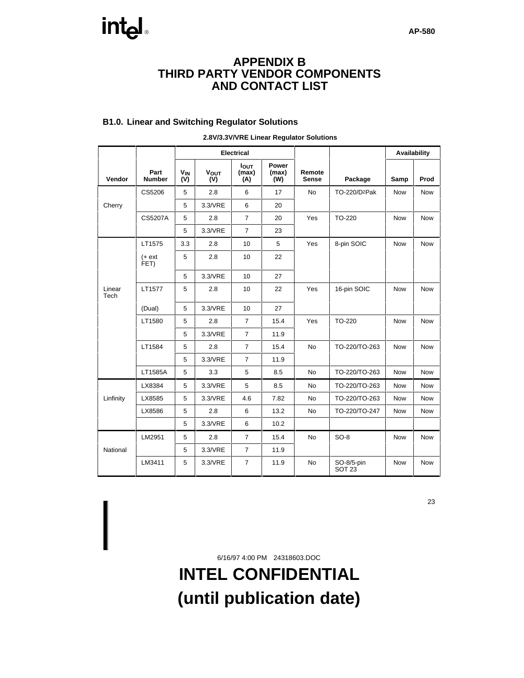

### **APPENDIX B THIRD PARTY VENDOR COMPONENTS AND CONTACT LIST**

### **B1.0. Linear and Switching Regulator Solutions**

|                |                       |                              |                    | <b>Electrical</b>            |                       |                        |                                 | Availability |            |
|----------------|-----------------------|------------------------------|--------------------|------------------------------|-----------------------|------------------------|---------------------------------|--------------|------------|
| Vendor         | Part<br><b>Number</b> | <b>V<sub>IN</sub></b><br>(V) | <b>VOUT</b><br>(V) | <b>I</b> out<br>(max)<br>(A) | Power<br>(max)<br>(W) | Remote<br><b>Sense</b> | Package                         | Samp         | Prod       |
|                | CS5206                | 5                            | 2.8                | 6                            | 17                    | <b>No</b>              | TO-220/D <sup>2</sup> Pak       | <b>Now</b>   | <b>Now</b> |
| Cherry         |                       | 5                            | 3.3/VRE            | 6                            | 20                    |                        |                                 |              |            |
|                | CS5207A               | 5                            | 2.8                | $\overline{7}$               | 20                    | Yes                    | TO-220                          | Now          | <b>Now</b> |
|                |                       | 5                            | 3.3/VRE            | $\overline{7}$               | 23                    |                        |                                 |              |            |
|                | LT1575                | 3.3                          | 2.8                | 10                           | 5                     | Yes                    | 8-pin SOIC                      | <b>Now</b>   | <b>Now</b> |
|                | (+ ext<br>FET)        | 5                            | 2.8                | 10                           | 22                    |                        |                                 |              |            |
|                |                       | 5                            | 3.3/VRE            | 10                           | 27                    |                        |                                 |              |            |
| Linear<br>Tech | LT1577                | 5                            | 2.8                | 10                           | 22                    | Yes                    | 16-pin SOIC                     | <b>Now</b>   | <b>Now</b> |
|                | (Dual)                | 5                            | 3.3/VRE            | 10                           | 27                    |                        |                                 |              |            |
|                | LT1580                | 5                            | 2.8                | $\overline{7}$               | 15.4                  | Yes                    | TO-220                          | <b>Now</b>   | <b>Now</b> |
|                |                       | 5                            | 3.3/VRE            | $\overline{7}$               | 11.9                  |                        |                                 |              |            |
|                | LT1584                | 5                            | 2.8                | $\overline{7}$               | 15.4                  | <b>No</b>              | TO-220/TO-263                   | Now          | <b>Now</b> |
|                |                       | 5                            | 3.3/VRE            | $\overline{7}$               | 11.9                  |                        |                                 |              |            |
|                | LT1585A               | 5                            | 3.3                | 5                            | 8.5                   | <b>No</b>              | TO-220/TO-263                   | <b>Now</b>   | <b>Now</b> |
|                | LX8384                | 5                            | 3.3/VRE            | 5                            | 8.5                   | No                     | TO-220/TO-263                   | <b>Now</b>   | <b>Now</b> |
| Linfinity      | LX8585                | 5                            | 3.3/VRE            | 4.6                          | 7.82                  | No                     | TO-220/TO-263                   | Now          | <b>Now</b> |
|                | LX8586                | 5                            | 2.8                | 6                            | 13.2                  | No                     | TO-220/TO-247                   | Now          | Now        |
|                |                       | 5                            | 3.3/VRE            | 6                            | 10.2                  |                        |                                 |              |            |
|                | LM2951                | 5                            | 2.8                | $\overline{7}$               | 15.4                  | <b>No</b>              | $SO-8$                          | <b>Now</b>   | <b>Now</b> |
| National       |                       | 5                            | 3.3/VRE            | $\overline{7}$               | 11.9                  |                        |                                 |              |            |
|                | LM3411                | 5                            | 3.3/VRE            | $\overline{7}$               | 11.9                  | No                     | SO-8/5-pin<br>SOT <sub>23</sub> | <b>Now</b>   | Now        |

### **2.8V/3.3V/VRE Linear Regulator Solutions**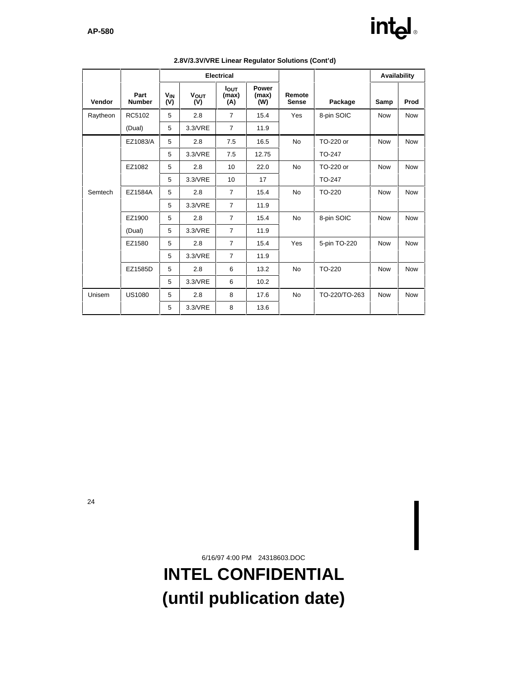|          |                       | <b>Electrical</b>            |                    |                             |                       | Availability           |               |            |            |
|----------|-----------------------|------------------------------|--------------------|-----------------------------|-----------------------|------------------------|---------------|------------|------------|
| Vendor   | Part<br><b>Number</b> | <b>V<sub>IN</sub></b><br>(V) | <b>VOUT</b><br>(V) | <b>IOUT</b><br>(max)<br>(A) | Power<br>(max)<br>(W) | Remote<br><b>Sense</b> | Package       | Samp       | Prod       |
| Raytheon | RC5102                | 5                            | 2.8                | $\overline{7}$              | 15.4                  | Yes                    | 8-pin SOIC    | <b>Now</b> | <b>Now</b> |
|          | (Dual)                | 5                            | 3.3/VRE            | $\overline{7}$              | 11.9                  |                        |               |            |            |
|          | EZ1083/A              | 5                            | 2.8                | 7.5                         | 16.5                  | <b>No</b>              | TO-220 or     | Now        | <b>Now</b> |
|          |                       | 5                            | 3.3/VRE            | 7.5                         | 12.75                 |                        | TO-247        |            |            |
|          | EZ1082                | 5                            | 2.8                | 10                          | 22.0                  | <b>No</b>              | TO-220 or     | Now        | <b>Now</b> |
|          |                       | 5                            | 3.3/VRE            | 10                          | 17                    |                        | TO-247        |            |            |
| Semtech  | EZ1584A               | 5                            | 2.8                | $\overline{7}$              | 15.4                  | <b>No</b>              | TO-220        | <b>Now</b> | <b>Now</b> |
|          |                       | 5                            | 3.3/VRE            | $\overline{7}$              | 11.9                  |                        |               |            |            |
|          | EZ1900                | 5                            | 2.8                | $\overline{7}$              | 15.4                  | <b>No</b>              | 8-pin SOIC    | <b>Now</b> | <b>Now</b> |
|          | (Dual)                | 5                            | 3.3/VRE            | $\overline{7}$              | 11.9                  |                        |               |            |            |
|          | EZ1580                | 5                            | 2.8                | $\overline{7}$              | 15.4                  | Yes                    | 5-pin TO-220  | <b>Now</b> | <b>Now</b> |
|          |                       | 5                            | 3.3/VRE            | $\overline{7}$              | 11.9                  |                        |               |            |            |
|          | EZ1585D               | 5                            | 2.8                | 6                           | 13.2                  | <b>No</b>              | TO-220        | <b>Now</b> | <b>Now</b> |
|          |                       | 5                            | 3.3/VRE            | 6                           | 10.2                  |                        |               |            |            |
| Unisem   | <b>US1080</b>         | 5                            | 2.8                | 8                           | 17.6                  | <b>No</b>              | TO-220/TO-263 | <b>Now</b> | <b>Now</b> |
|          |                       | 5                            | 3.3/VRE            | 8                           | 13.6                  |                        |               |            |            |

| 2.8V/3.3V/VRE Linear Regulator Solutions (Cont'd) |  |  |  |  |  |
|---------------------------------------------------|--|--|--|--|--|
|---------------------------------------------------|--|--|--|--|--|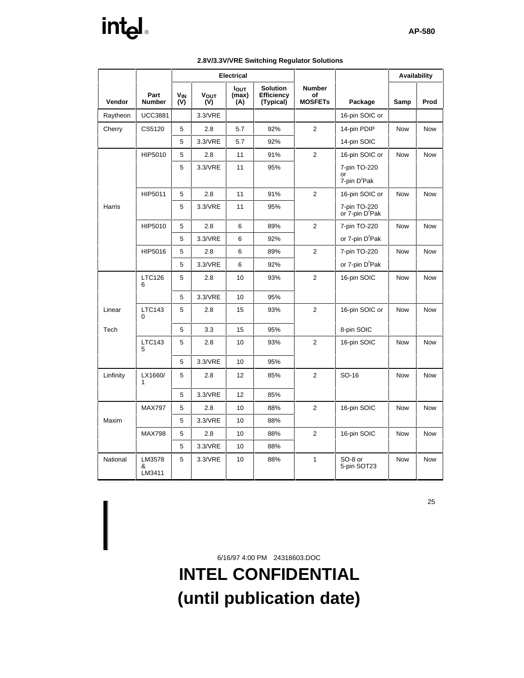|           |                         |                              |                    | <b>Electrical</b>           |                                            |                                       |                                             |            | Availability |
|-----------|-------------------------|------------------------------|--------------------|-----------------------------|--------------------------------------------|---------------------------------------|---------------------------------------------|------------|--------------|
| Vendor    | Part<br><b>Number</b>   | <b>V<sub>IN</sub></b><br>(V) | <b>Vout</b><br>(V) | <b>IOUT</b><br>(max)<br>(A) | <b>Solution</b><br>Efficiency<br>(Typical) | <b>Number</b><br>of<br><b>MOSFETS</b> | Package                                     | Samp       | Prod         |
| Raytheon  | <b>UCC3881</b>          |                              | 3.3/VRE            |                             |                                            |                                       | 16-pin SOIC or                              |            |              |
| Cherry    | CS5120                  | 5                            | 2.8                | 5.7                         | 92%                                        | $\overline{2}$                        | 14-pin PDIP                                 | Now        | Now          |
|           |                         | 5                            | 3.3/VRE            | 5.7                         | 92%                                        |                                       | 14-pin SOIC                                 |            |              |
|           | HIP5010                 | 5                            | 2.8                | 11                          | 91%                                        | $\overline{2}$                        | 16-pin SOIC or                              | <b>Now</b> | <b>Now</b>   |
|           |                         | 5                            | 3.3/VRE            | 11                          | 95%                                        |                                       | 7-pin TO-220<br>or<br>7-pin $D^2$ Pak       |            |              |
|           | HIP5011                 | 5                            | 2.8                | 11                          | 91%                                        | $\overline{2}$                        | 16-pin SOIC or                              | <b>Now</b> | <b>Now</b>   |
| Harris    |                         | 5                            | 3.3/VRE            | 11                          | 95%                                        |                                       | 7-pin TO-220<br>or 7-pin D <sup>2</sup> Pak |            |              |
|           | HIP5010                 | 5                            | 2.8                | 6                           | 89%                                        | $\overline{2}$                        | 7-pin TO-220                                | <b>Now</b> | <b>Now</b>   |
|           |                         | 5                            | 3.3/VRE            | 6                           | 92%                                        |                                       | or 7-pin D <sup>2</sup> Pak                 |            |              |
|           | HIP5016                 | 5                            | 2.8                | 6                           | 89%                                        | $\overline{2}$                        | 7-pin TO-220                                | <b>Now</b> | Now          |
|           |                         | 5                            | 3.3/VRE            | 6                           | 92%                                        |                                       | or 7-pin D <sup>2</sup> Pak                 |            |              |
|           | <b>LTC126</b><br>6      | 5                            | 2.8                | 10                          | 93%                                        | $\overline{2}$                        | 16-pin SOIC                                 | Now        | <b>Now</b>   |
|           |                         | 5                            | 3.3/VRE            | 10                          | 95%                                        |                                       |                                             |            |              |
| Linear    | <b>LTC143</b><br>0      | 5                            | 2.8                | 15                          | 93%                                        | $\overline{2}$                        | 16-pin SOIC or                              | <b>Now</b> | <b>Now</b>   |
| Tech      |                         | 5                            | 3.3                | 15                          | 95%                                        |                                       | 8-pin SOIC                                  |            |              |
|           | <b>LTC143</b><br>5      | 5                            | 2.8                | 10                          | 93%                                        | $\overline{2}$                        | 16-pin SOIC                                 | Now        | <b>Now</b>   |
|           |                         | 5                            | 3.3/VRE            | 10                          | 95%                                        |                                       |                                             |            |              |
| Linfinity | LX1660/<br>$\mathbf{1}$ | 5                            | 2.8                | 12                          | 85%                                        | $\overline{2}$                        | SO-16                                       | Now        | <b>Now</b>   |
|           |                         | 5                            | 3.3/VRE            | 12                          | 85%                                        |                                       |                                             |            |              |
|           | <b>MAX797</b>           | 5                            | 2.8                | 10                          | 88%                                        | $\overline{2}$                        | 16-pin SOIC                                 | <b>Now</b> | <b>Now</b>   |
| Maxim     |                         | 5                            | 3.3/VRE            | 10                          | 88%                                        |                                       |                                             |            |              |
|           | <b>MAX798</b>           | 5                            | 2.8                | 10                          | 88%                                        | $\overline{2}$                        | 16-pin SOIC                                 | <b>Now</b> | <b>Now</b>   |
|           |                         | 5                            | 3.3/VRE            | 10                          | 88%                                        |                                       |                                             |            |              |
| National  | LM3578<br>&<br>LM3411   | 5                            | 3.3/VRE            | 10                          | 88%                                        | $\mathbf{1}$                          | SO-8 or<br>5-pin SOT23                      | <b>Now</b> | <b>Now</b>   |

### **2.8V/3.3V/VRE Switching Regulator Solutions**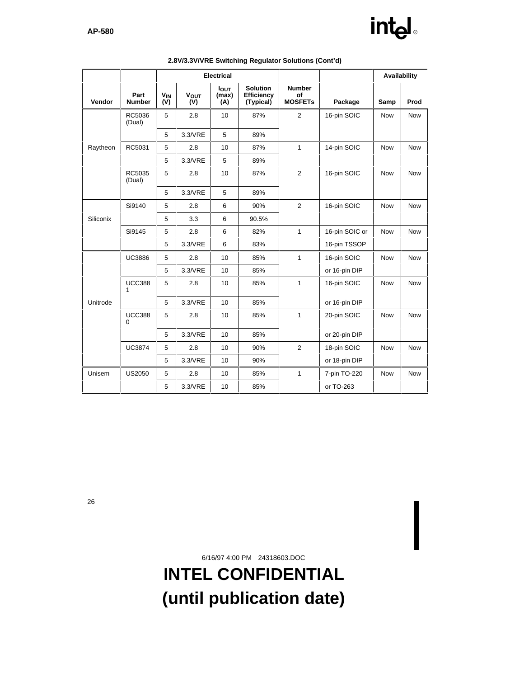

|           | <b>Electrical</b>         |                              |                    | Availability                |                                                   |                                       |                |            |            |
|-----------|---------------------------|------------------------------|--------------------|-----------------------------|---------------------------------------------------|---------------------------------------|----------------|------------|------------|
| Vendor    | Part<br><b>Number</b>     | <b>V<sub>IN</sub></b><br>(V) | <b>VOUT</b><br>(V) | <b>IOUT</b><br>(max)<br>(A) | <b>Solution</b><br><b>Efficiency</b><br>(Typical) | <b>Number</b><br>οf<br><b>MOSFETs</b> | Package        | Samp       | Prod       |
|           | RC5036<br>(Dual)          | 5                            | 2.8                | 10                          | 87%                                               | $\overline{2}$                        | 16-pin SOIC    | <b>Now</b> | Now        |
|           |                           | 5                            | 3.3/VRE            | 5                           | 89%                                               |                                       |                |            |            |
| Raytheon  | RC5031                    | 5                            | 2.8                | 10                          | 87%                                               | $\mathbf{1}$                          | 14-pin SOIC    | <b>Now</b> | <b>Now</b> |
|           |                           | 5                            | 3.3/VRE            | 5                           | 89%                                               |                                       |                |            |            |
|           | RC5035<br>(Dual)          | 5                            | 2.8                | 10                          | 87%                                               | 2                                     | 16-pin SOIC    | <b>Now</b> | Now        |
|           |                           | 5                            | 3.3/VRE            | 5                           | 89%                                               |                                       |                |            |            |
|           | Si9140                    | 5                            | 2.8                | 6                           | 90%                                               | 2                                     | 16-pin SOIC    | <b>Now</b> | <b>Now</b> |
| Siliconix |                           | 5                            | 3.3                | 6                           | 90.5%                                             |                                       |                |            |            |
|           | Si9145                    | 5                            | 2.8                | 6                           | 82%                                               | $\mathbf{1}$                          | 16-pin SOIC or | Now        | Now        |
|           |                           | 5                            | 3.3/VRE            | 6                           | 83%                                               |                                       | 16-pin TSSOP   |            |            |
|           | <b>UC3886</b>             | 5                            | 2.8                | 10                          | 85%                                               | $\mathbf{1}$                          | 16-pin SOIC    | <b>Now</b> | <b>Now</b> |
|           |                           | 5                            | 3.3/VRE            | 10                          | 85%                                               |                                       | or 16-pin DIP  |            |            |
|           | <b>UCC388</b><br>1        | 5                            | 2.8                | 10                          | 85%                                               | 1                                     | 16-pin SOIC    | <b>Now</b> | Now        |
| Unitrode  |                           | 5                            | 3.3/VRE            | 10                          | 85%                                               |                                       | or 16-pin DIP  |            |            |
|           | <b>UCC388</b><br>$\Omega$ | 5                            | 2.8                | 10                          | 85%                                               | 1                                     | 20-pin SOIC    | <b>Now</b> | <b>Now</b> |
|           |                           | 5                            | 3.3/VRE            | 10                          | 85%                                               |                                       | or 20-pin DIP  |            |            |
|           | <b>UC3874</b>             | 5                            | 2.8                | 10                          | 90%                                               | $\overline{2}$                        | 18-pin SOIC    | <b>Now</b> | <b>Now</b> |
|           |                           | 5                            | 3.3/VRE            | 10                          | 90%                                               |                                       | or 18-pin DIP  |            |            |
| Unisem    | <b>US2050</b>             | 5                            | 2.8                | 10                          | 85%                                               | $\mathbf{1}$                          | 7-pin TO-220   | <b>Now</b> | <b>Now</b> |
|           |                           | 5                            | 3.3/VRE            | 10                          | 85%                                               |                                       | or TO-263      |            |            |

### **2.8V/3.3V/VRE Switching Regulator Solutions (Cont'd)**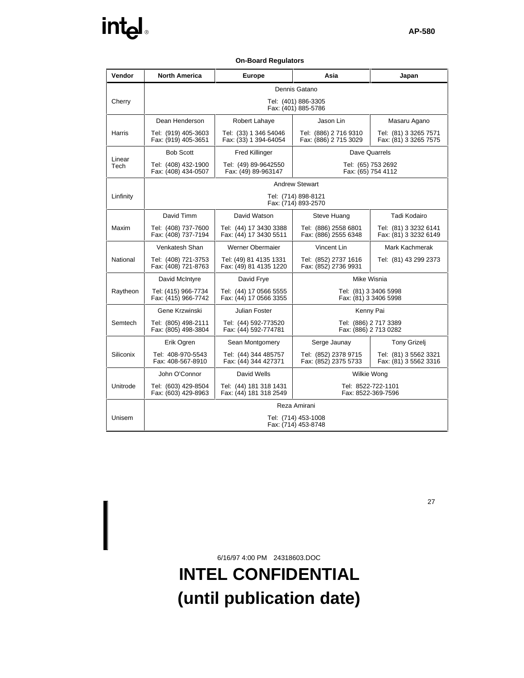### **On-Board Regulators**

| Vendor         | <b>North America</b>                                                                                                                       | <b>Europe</b>                                    | Asia                                           | Japan                                          |  |  |  |
|----------------|--------------------------------------------------------------------------------------------------------------------------------------------|--------------------------------------------------|------------------------------------------------|------------------------------------------------|--|--|--|
|                | Dennis Gatano                                                                                                                              |                                                  |                                                |                                                |  |  |  |
| Cherry         | Tel: (401) 886-3305<br>Fax: (401) 885-5786                                                                                                 |                                                  |                                                |                                                |  |  |  |
|                | Dean Henderson                                                                                                                             | Robert Lahaye                                    | Jason Lin                                      | Masaru Agano                                   |  |  |  |
| Harris         | Tel: (919) 405-3603<br>Fax: (919) 405-3651                                                                                                 | Tel: (33) 1 346 54046<br>Fax: (33) 1 394-64054   | Tel: (886) 2 716 9310<br>Fax: (886) 2 715 3029 | Tel: (81) 3 3265 7571<br>Fax: (81) 3 3265 7575 |  |  |  |
|                | <b>Bob Scott</b>                                                                                                                           | <b>Fred Killinger</b>                            |                                                | Dave Quarrels                                  |  |  |  |
| Linear<br>Tech | Tel: (408) 432-1900<br>Fax: (408) 434-0507                                                                                                 | Tel: (49) 89-9642550<br>Fax: (49) 89-963147      |                                                | Tel: (65) 753 2692<br>Fax: (65) 754 4112       |  |  |  |
|                |                                                                                                                                            |                                                  | <b>Andrew Stewart</b>                          |                                                |  |  |  |
| Linfinity      |                                                                                                                                            |                                                  | Tel: (714) 898-8121<br>Fax: (714) 893-2570     |                                                |  |  |  |
|                | David Timm                                                                                                                                 | David Watson                                     | Steve Huang                                    | Tadi Kodairo                                   |  |  |  |
| Maxim          | Tel: (408) 737-7600<br>Fax: (408) 737-7194                                                                                                 | Tel: (44) 17 3430 3388<br>Fax: (44) 17 3430 5511 | Tel: (886) 2558 6801<br>Fax: (886) 2555 6348   | Tel: (81) 3 3232 6141<br>Fax: (81) 3 3232 6149 |  |  |  |
|                | Venkatesh Shan                                                                                                                             | Werner Obermaier                                 | Vincent Lin                                    | Mark Kachmerak                                 |  |  |  |
| National       | Tel: (408) 721-3753<br>Fax: (408) 721-8763                                                                                                 | Tel: (49) 81 4135 1331<br>Fax: (49) 81 4135 1220 | Tel: (852) 2737 1616<br>Fax: (852) 2736 9931   | Tel: (81) 43 299 2373                          |  |  |  |
|                | David McIntyre                                                                                                                             | David Frye                                       |                                                | Mike Wisnia                                    |  |  |  |
| Raytheon       | Tel: (415) 966-7734<br>Fax: (415) 966-7742                                                                                                 | Tel: (44) 17 0566 5555<br>Fax: (44) 17 0566 3355 |                                                | Tel: (81) 3 3406 5998<br>Fax: (81) 3 3406 5998 |  |  |  |
|                | Gene Krzwinski                                                                                                                             | <b>Julian Foster</b>                             |                                                | Kenny Pai                                      |  |  |  |
| Semtech        | Tel: (805) 498-2111<br>Fax: (805) 498-3804                                                                                                 | Tel: (44) 592-773520<br>Fax: (44) 592-774781     |                                                | Tel: (886) 2 717 3389<br>Fax: (886) 2 713 0282 |  |  |  |
|                | Erik Ogren                                                                                                                                 | Sean Montgomery                                  | Serge Jaunay                                   | <b>Tony Grizelj</b>                            |  |  |  |
| Siliconix      | Tel: 408-970-5543<br>Fax: 408-567-8910                                                                                                     | Tel: (44) 344 485757<br>Fax: (44) 344 427371     | Tel: (852) 2378 9715<br>Fax: (852) 2375 5733   | Tel: (81) 3 5562 3321<br>Fax: (81) 3 5562 3316 |  |  |  |
|                | John O'Connor                                                                                                                              | David Wells                                      |                                                | Wilkie Wong                                    |  |  |  |
| Unitrode       | Tel: (603) 429-8504<br>Tel: (44) 181 318 1431<br>Tel: 8522-722-1101<br>Fax: (603) 429-8963<br>Fax: 8522-369-7596<br>Fax: (44) 181 318 2549 |                                                  |                                                |                                                |  |  |  |
|                |                                                                                                                                            |                                                  | Reza Amirani                                   |                                                |  |  |  |
| Unisem         |                                                                                                                                            |                                                  | Tel: (714) 453-1008<br>Fax: (714) 453-8748     |                                                |  |  |  |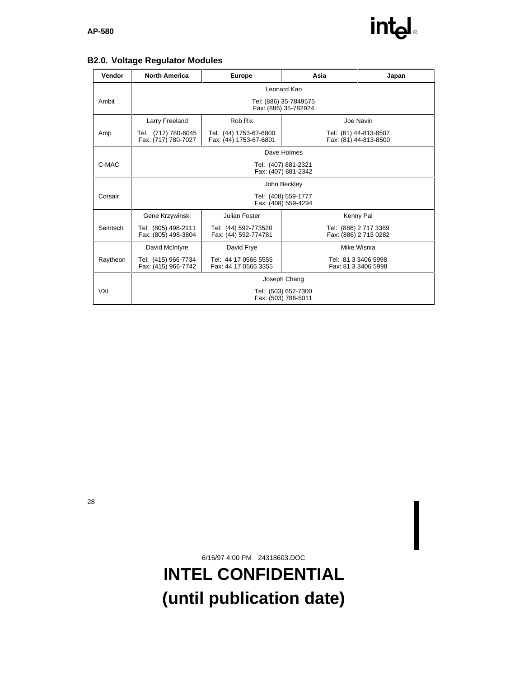

|  |  | <b>B2.0. Voltage Regulator Modules</b> |  |
|--|--|----------------------------------------|--|
|--|--|----------------------------------------|--|

| Vendor     | <b>North America</b>                                                                                                                     | <b>Europe</b><br>Asia                            |                                               | Japan                                          |  |  |
|------------|------------------------------------------------------------------------------------------------------------------------------------------|--------------------------------------------------|-----------------------------------------------|------------------------------------------------|--|--|
|            |                                                                                                                                          |                                                  | Leonard Kao                                   |                                                |  |  |
| Ambit      |                                                                                                                                          |                                                  | Tel: (886) 35-7849575<br>Fax: (886) 35-782924 |                                                |  |  |
|            | Larry Freeland                                                                                                                           | Rob Rix                                          |                                               | Joe Navin                                      |  |  |
| Amp        | Tel: (717) 780-6045<br>Fax: (717) 780-7027                                                                                               | Tel: (44) 1753-67-6800<br>Fax: (44) 1753-67-6801 |                                               | Tel: (81) 44-813-8507<br>Fax: (81) 44-813-8500 |  |  |
|            |                                                                                                                                          |                                                  | Dave Holmes                                   |                                                |  |  |
| C-MAC      |                                                                                                                                          |                                                  | Tel: (407) 881-2321<br>Fax: (407) 881-2342    |                                                |  |  |
|            | John Beckley                                                                                                                             |                                                  |                                               |                                                |  |  |
| Corsair    |                                                                                                                                          |                                                  | Tel: (408) 559-1777<br>Fax: (408) 559-4294    |                                                |  |  |
|            | Gene Krzywinski                                                                                                                          | Julian Foster                                    |                                               | Kenny Pai                                      |  |  |
| Semtech    | Tel: (805) 498-2111<br>Fax: (805) 498-3804                                                                                               | Tel: (44) 592-773520<br>Fax: (44) 592-774781     |                                               | Tel: (886) 2 717 3389<br>Fax: (886) 2 713 0282 |  |  |
|            | David McIntyre                                                                                                                           | David Frye                                       |                                               | Mike Wisnia                                    |  |  |
| Raytheon   | Tel: 44 17 0566 5555<br>Tel: 81 3 3406 5998<br>Tel: (415) 966-7734<br>Fax: (415) 966-7742<br>Fax: 44 17 0566 3355<br>Fax: 81 3 3406 5998 |                                                  |                                               |                                                |  |  |
|            | Joseph Chang                                                                                                                             |                                                  |                                               |                                                |  |  |
| <b>VXI</b> |                                                                                                                                          |                                                  | Tel: (503) 652-7300<br>Fax: (503) 786-5011    |                                                |  |  |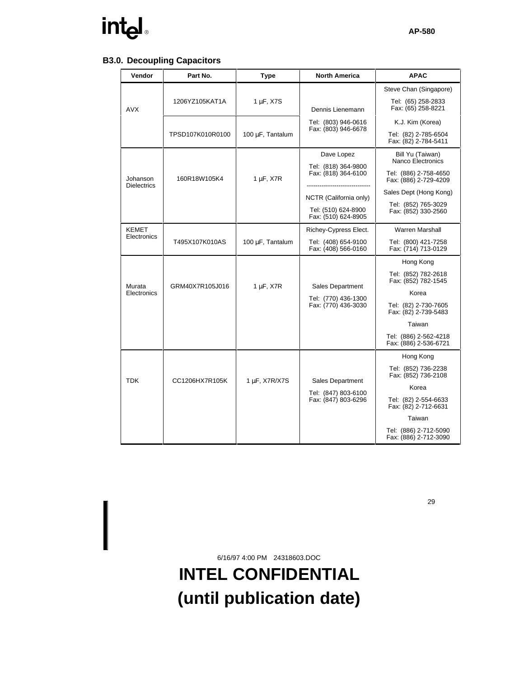### **B3.0. Decoupling Capacitors**

| Vendor                         | Part No.         | Type             | <b>North America</b>                       | <b>APAC</b>                                    |
|--------------------------------|------------------|------------------|--------------------------------------------|------------------------------------------------|
|                                |                  |                  |                                            | Steve Chan (Singapore)                         |
| <b>AVX</b>                     | 1206YZ105KAT1A   | 1 µF, X7S        | Dennis Lienemann                           | Tel: (65) 258-2833<br>Fax: (65) 258-8221       |
|                                |                  |                  | Tel: (803) 946-0616                        | K.J. Kim (Korea)                               |
|                                | TPSD107K010R0100 | 100 µF, Tantalum | Fax: (803) 946-6678                        | Tel: (82) 2-785-6504<br>Fax: (82) 2-784-5411   |
|                                |                  |                  | Dave Lopez<br>Tel: (818) 364-9800          | Bill Yu (Taiwan)<br>Nanco Electronics          |
| Johanson<br><b>Dielectrics</b> | 160R18W105K4     | 1 µF, X7R        | Fax: (818) 364-6100                        | Tel: (886) 2-758-4650<br>Fax: (886) 2-729-4209 |
|                                |                  |                  | NCTR (California only)                     | Sales Dept (Hong Kong)                         |
|                                |                  |                  | Tel: (510) 624-8900                        | Tel: (852) 765-3029<br>Fax: (852) 330-2560     |
|                                |                  |                  | Fax: (510) 624-8905                        |                                                |
| <b>KEMET</b><br>Electronics    |                  |                  | Richey-Cypress Elect.                      | <b>Warren Marshall</b>                         |
|                                | T495X107K010AS   | 100 µF, Tantalum | Tel: (408) 654-9100<br>Fax: (408) 566-0160 | Tel: (800) 421-7258<br>Fax: (714) 713-0129     |
|                                |                  |                  |                                            | Hong Kong                                      |
| Murata                         | GRM40X7R105J016  | 1 µF, X7R        | Sales Department                           | Tel: (852) 782-2618<br>Fax: (852) 782-1545     |
| Electronics                    |                  |                  | Tel: (770) 436-1300                        | Korea                                          |
|                                |                  |                  | Fax: (770) 436-3030                        | Tel: (82) 2-730-7605<br>Fax: (82) 2-739-5483   |
|                                |                  |                  |                                            | Taiwan                                         |
|                                |                  |                  |                                            | Tel: (886) 2-562-4218<br>Fax: (886) 2-536-6721 |
|                                |                  |                  |                                            | Hong Kong                                      |
| <b>TDK</b>                     | CC1206HX7R105K   | 1 µF, X7R/X7S    | Sales Department                           | Tel: (852) 736-2238<br>Fax: (852) 736-2108     |
|                                |                  |                  | Tel: (847) 803-6100                        | Korea                                          |
|                                |                  |                  | Fax: (847) 803-6296                        | Tel: (82) 2-554-6633<br>Fax: (82) 2-712-6631   |
|                                |                  |                  |                                            | Taiwan                                         |
|                                |                  |                  |                                            | Tel: (886) 2-712-5090<br>Fax: (886) 2-712-3090 |